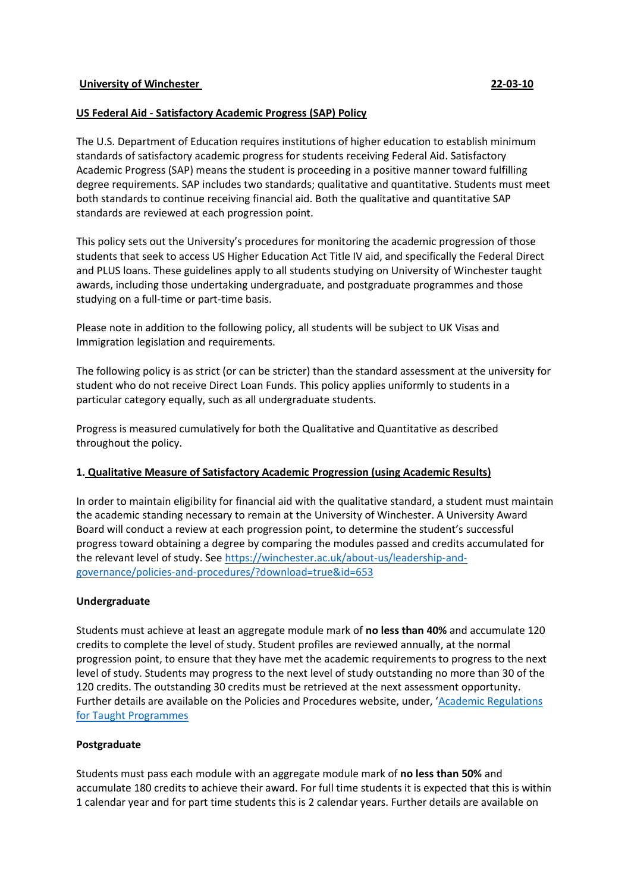# **US Federal Aid - Satisfactory Academic Progress (SAP) Policy**

The U.S. Department of Education requires institutions of higher education to establish minimum standards of satisfactory academic progress for students receiving Federal Aid. Satisfactory Academic Progress (SAP) means the student is proceeding in a positive manner toward fulfilling degree requirements. SAP includes two standards; qualitative and quantitative. Students must meet both standards to continue receiving financial aid. Both the qualitative and quantitative SAP standards are reviewed at each progression point.

This policy sets out the University's procedures for monitoring the academic progression of those students that seek to access US Higher Education Act Title IV aid, and specifically the Federal Direct and PLUS loans. These guidelines apply to all students studying on University of Winchester taught awards, including those undertaking undergraduate, and postgraduate programmes and those studying on a full-time or part-time basis.

Please note in addition to the following policy, all students will be subject to UK Visas and Immigration legislation and requirements.

The following policy is as strict (or can be stricter) than the standard assessment at the university for student who do not receive Direct Loan Funds. This policy applies uniformly to students in a particular category equally, such as all undergraduate students.

Progress is measured cumulatively for both the Qualitative and Quantitative as described throughout the policy.

# **1. Qualitative Measure of Satisfactory Academic Progression (using Academic Results)**

In order to maintain eligibility for financial aid with the qualitative standard, a student must maintain the academic standing necessary to remain at the University of Winchester. A University Award Board will conduct a review at each progression point, to determine the student's successful progress toward obtaining a degree by comparing the modules passed and credits accumulated for the relevant level of study. See [https://winchester.ac.uk/about-us/leadership-and](https://winchester.ac.uk/about-us/leadership-and-governance/policies-and-procedures/?download=true&id=653)[governance/policies-and-procedures/?download=true&id=653](https://winchester.ac.uk/about-us/leadership-and-governance/policies-and-procedures/?download=true&id=653)

# **Undergraduate**

Students must achieve at least an aggregate module mark of **no less than 40%** and accumulate 120 credits to complete the level of study. Student profiles are reviewed annually, at the normal progression point, to ensure that they have met the academic requirements to progress to the next level of study. Students may progress to the next level of study outstanding no more than 30 of the 120 credits. The outstanding 30 credits must be retrieved at the next assessment opportunity. Further details are available on the Policies and Procedures website, under, '[Academic Regulations](https://winchester.ac.uk/about-us/leadership-and-governance/policies-and-procedures/?download=true&id=103)  [for Taught Programmes](https://winchester.ac.uk/about-us/leadership-and-governance/policies-and-procedures/?download=true&id=103)

# **Postgraduate**

Students must pass each module with an aggregate module mark of **no less than 50%** and accumulate 180 credits to achieve their award. For full time students it is expected that this is within 1 calendar year and for part time students this is 2 calendar years. Further details are available on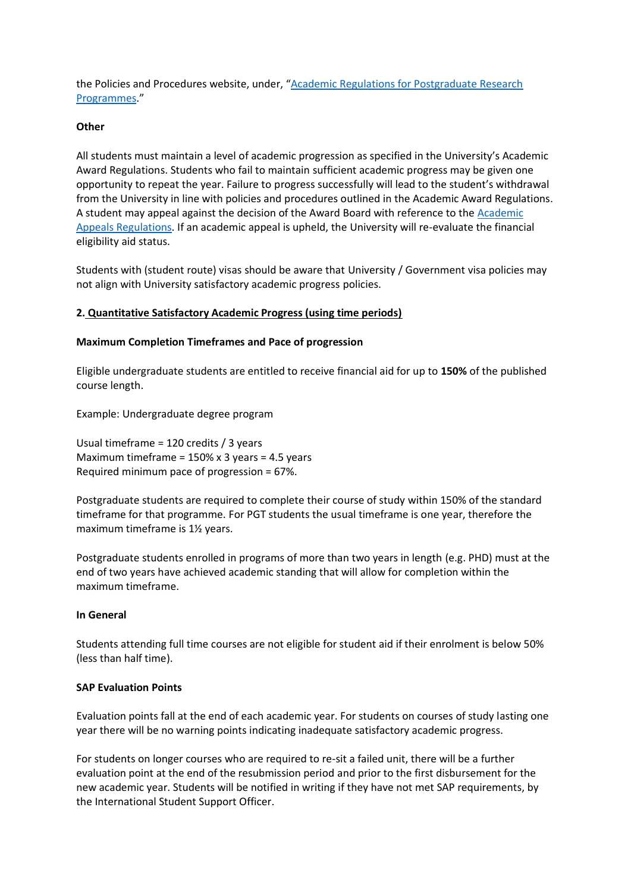the Policies and Procedures website, under, "Academic Regulations for Postgraduate Research [Programmes](https://winchester.ac.uk/about-us/leadership-and-governance/policies-and-procedures/?download=true&id=402)."

### **Other**

All students must maintain a level of academic progression as specified in the University's Academic Award Regulations. Students who fail to maintain sufficient academic progress may be given one opportunity to repeat the year. Failure to progress successfully will lead to the student's withdrawal from the University in line with policies and procedures outlined in the Academic Award Regulations. A student may appeal against the decision of the Award Board with reference to the [Academic](https://winchester.ac.uk/about-us/leadership-and-governance/policies-and-procedures/?download=true&id=100)  [Appeals Regulations.](https://winchester.ac.uk/about-us/leadership-and-governance/policies-and-procedures/?download=true&id=100) If an academic appeal is upheld, the University will re-evaluate the financial eligibility aid status.

Students with (student route) visas should be aware that University / Government visa policies may not align with University satisfactory academic progress policies.

## **2. Quantitative Satisfactory Academic Progress (using time periods)**

### **Maximum Completion Timeframes and Pace of progression**

Eligible undergraduate students are entitled to receive financial aid for up to **150%** of the published course length.

Example: Undergraduate degree program

Usual timeframe = 120 credits / 3 years Maximum timeframe = 150% x 3 years = 4.5 years Required minimum pace of progression = 67%.

Postgraduate students are required to complete their course of study within 150% of the standard timeframe for that programme. For PGT students the usual timeframe is one year, therefore the maximum timeframe is 1½ years.

Postgraduate students enrolled in programs of more than two years in length (e.g. PHD) must at the end of two years have achieved academic standing that will allow for completion within the maximum timeframe.

### **In General**

Students attending full time courses are not eligible for student aid if their enrolment is below 50% (less than half time).

### **SAP Evaluation Points**

Evaluation points fall at the end of each academic year. For students on courses of study lasting one year there will be no warning points indicating inadequate satisfactory academic progress.

For students on longer courses who are required to re-sit a failed unit, there will be a further evaluation point at the end of the resubmission period and prior to the first disbursement for the new academic year. Students will be notified in writing if they have not met SAP requirements, by the International Student Support Officer.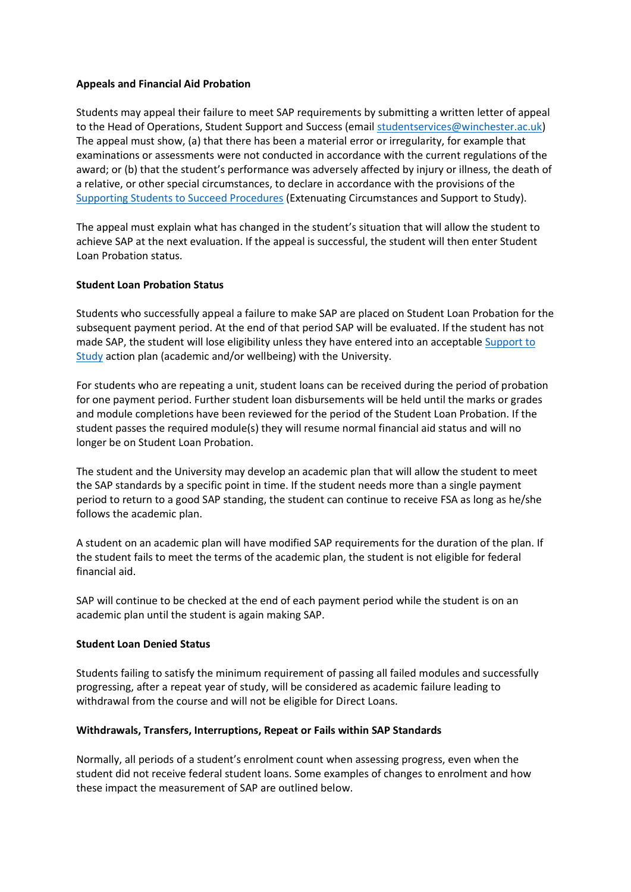### **Appeals and Financial Aid Probation**

Students may appeal their failure to meet SAP requirements by submitting a written letter of appeal to the Head of Operations, Student Support and Success (email [studentservices@winchester.ac.uk\)](mailto:studentservices@winchester.ac.uk) The appeal must show, (a) that there has been a material error or irregularity, for example that examinations or assessments were not conducted in accordance with the current regulations of the award; or (b) that the student's performance was adversely affected by injury or illness, the death of a relative, or other special circumstances, to declare in accordance with the provisions of the [Supporting Students to Succeed Procedures](https://winchester.ac.uk/about-us/leadership-and-governance/policies-and-procedures/?download=true&id=680) (Extenuating Circumstances and Support to Study).

The appeal must explain what has changed in the student's situation that will allow the student to achieve SAP at the next evaluation. If the appeal is successful, the student will then enter Student Loan Probation status.

## **Student Loan Probation Status**

Students who successfully appeal a failure to make SAP are placed on Student Loan Probation for the subsequent payment period. At the end of that period SAP will be evaluated. If the student has not made SAP, the student will lose eligibility unless they have entered into an acceptable Support to [Study](https://winchester.ac.uk/about-us/leadership-and-governance/policies-and-procedures/?download=true&id=680) action plan (academic and/or wellbeing) with the University.

For students who are repeating a unit, student loans can be received during the period of probation for one payment period. Further student loan disbursements will be held until the marks or grades and module completions have been reviewed for the period of the Student Loan Probation. If the student passes the required module(s) they will resume normal financial aid status and will no longer be on Student Loan Probation.

The student and the University may develop an academic plan that will allow the student to meet the SAP standards by a specific point in time. If the student needs more than a single payment period to return to a good SAP standing, the student can continue to receive FSA as long as he/she follows the academic plan.

A student on an academic plan will have modified SAP requirements for the duration of the plan. If the student fails to meet the terms of the academic plan, the student is not eligible for federal financial aid.

SAP will continue to be checked at the end of each payment period while the student is on an academic plan until the student is again making SAP.

### **Student Loan Denied Status**

Students failing to satisfy the minimum requirement of passing all failed modules and successfully progressing, after a repeat year of study, will be considered as academic failure leading to withdrawal from the course and will not be eligible for Direct Loans.

### **Withdrawals, Transfers, Interruptions, Repeat or Fails within SAP Standards**

Normally, all periods of a student's enrolment count when assessing progress, even when the student did not receive federal student loans. Some examples of changes to enrolment and how these impact the measurement of SAP are outlined below.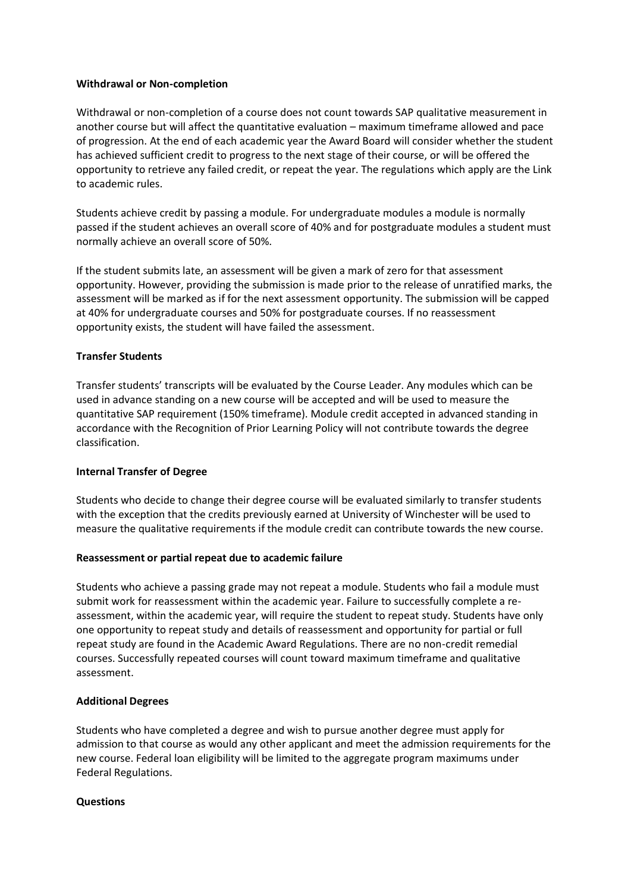### **Withdrawal or Non-completion**

Withdrawal or non-completion of a course does not count towards SAP qualitative measurement in another course but will affect the quantitative evaluation – maximum timeframe allowed and pace of progression. At the end of each academic year the Award Board will consider whether the student has achieved sufficient credit to progress to the next stage of their course, or will be offered the opportunity to retrieve any failed credit, or repeat the year. The regulations which apply are the Link to academic rules.

Students achieve credit by passing a module. For undergraduate modules a module is normally passed if the student achieves an overall score of 40% and for postgraduate modules a student must normally achieve an overall score of 50%.

If the student submits late, an assessment will be given a mark of zero for that assessment opportunity. However, providing the submission is made prior to the release of unratified marks, the assessment will be marked as if for the next assessment opportunity. The submission will be capped at 40% for undergraduate courses and 50% for postgraduate courses. If no reassessment opportunity exists, the student will have failed the assessment.

### **Transfer Students**

Transfer students' transcripts will be evaluated by the Course Leader. Any modules which can be used in advance standing on a new course will be accepted and will be used to measure the quantitative SAP requirement (150% timeframe). Module credit accepted in advanced standing in accordance with the Recognition of Prior Learning Policy will not contribute towards the degree classification.

### **Internal Transfer of Degree**

Students who decide to change their degree course will be evaluated similarly to transfer students with the exception that the credits previously earned at University of Winchester will be used to measure the qualitative requirements if the module credit can contribute towards the new course.

### **Reassessment or partial repeat due to academic failure**

Students who achieve a passing grade may not repeat a module. Students who fail a module must submit work for reassessment within the academic year. Failure to successfully complete a reassessment, within the academic year, will require the student to repeat study. Students have only one opportunity to repeat study and details of reassessment and opportunity for partial or full repeat study are found in the Academic Award Regulations. There are no non-credit remedial courses. Successfully repeated courses will count toward maximum timeframe and qualitative assessment.

### **Additional Degrees**

Students who have completed a degree and wish to pursue another degree must apply for admission to that course as would any other applicant and meet the admission requirements for the new course. Federal loan eligibility will be limited to the aggregate program maximums under Federal Regulations.

#### **Questions**